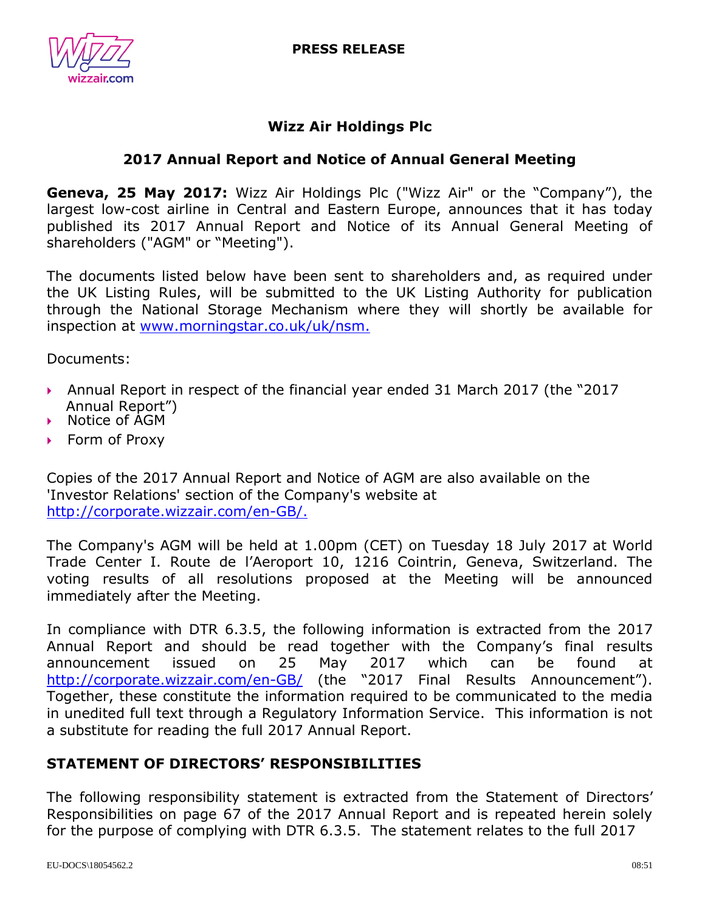



## **Wizz Air Holdings Plc**

# **2017 Annual Report and Notice of Annual General Meeting**

**Geneva, 25 May 2017:** Wizz Air Holdings Plc ("Wizz Air" or the "Company"), the largest low-cost airline in Central and Eastern Europe, announces that it has today published its 2017 Annual Report and Notice of its Annual General Meeting of shareholders ("AGM" or "Meeting").

The documents listed below have been sent to shareholders and, as required under the UK Listing Rules, will be submitted to the UK Listing Authority for publication through the National Storage Mechanism where they will shortly be available for inspection at [www.morningstar.co.uk/uk/nsm.](http://www.morningstar.co.uk/uk/nsm)

Documents:

- Annual Report in respect of the financial year ended 31 March 2017 (the "2017 Annual Report")
- ▶ Notice of AGM
- $\triangleright$  Form of Proxy

Copies of the 2017 Annual Report and Notice of AGM are also available on the 'Investor Relations' section of the Company's website at [http://corporate.wizzair.com/en-GB/.](http://corporate.wizzair.com/en-GB/)

The Company's AGM will be held at 1.00pm (CET) on Tuesday 18 July 2017 at World Trade Center I. Route de l'Aeroport 10, 1216 Cointrin, Geneva, Switzerland. The voting results of all resolutions proposed at the Meeting will be announced immediately after the Meeting.

In compliance with DTR 6.3.5, the following information is extracted from the 2017 Annual Report and should be read together with the Company's final results announcement issued on 25 May 2017 which can be found at <http://corporate.wizzair.com/en-GB/> (the "2017 Final Results Announcement"). Together, these constitute the information required to be communicated to the media in unedited full text through a Regulatory Information Service. This information is not a substitute for reading the full 2017 Annual Report.

## **STATEMENT OF DIRECTORS' RESPONSIBILITIES**

The following responsibility statement is extracted from the Statement of Directors' Responsibilities on page 67 of the 2017 Annual Report and is repeated herein solely for the purpose of complying with DTR 6.3.5. The statement relates to the full 2017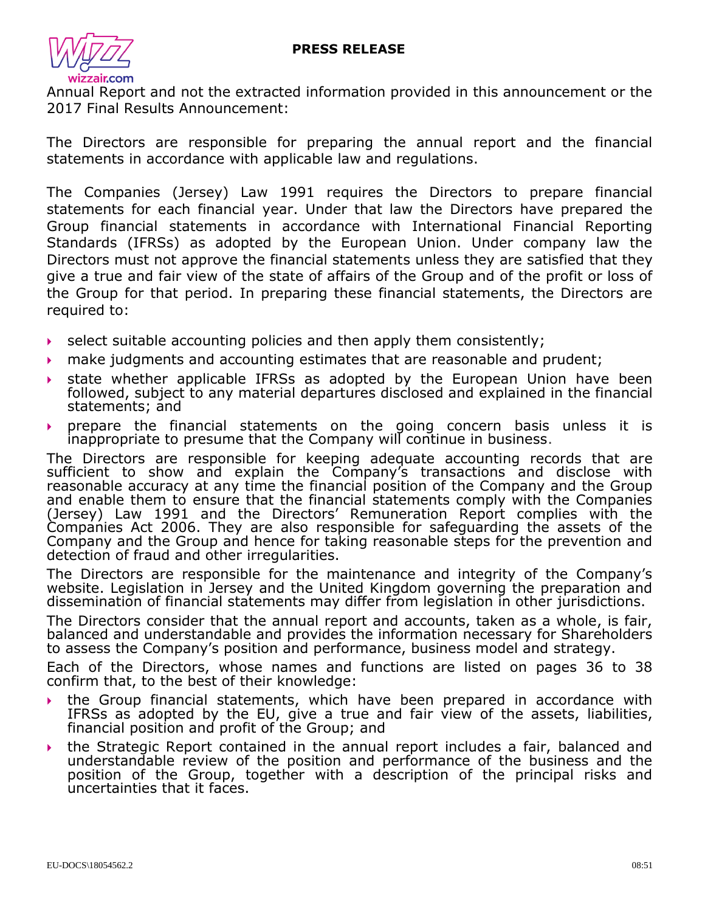

Annual Report and not the extracted information provided in this announcement or the 2017 Final Results Announcement:

The Directors are responsible for preparing the annual report and the financial statements in accordance with applicable law and regulations.

The Companies (Jersey) Law 1991 requires the Directors to prepare financial statements for each financial year. Under that law the Directors have prepared the Group financial statements in accordance with International Financial Reporting Standards (IFRSs) as adopted by the European Union. Under company law the Directors must not approve the financial statements unless they are satisfied that they give a true and fair view of the state of affairs of the Group and of the profit or loss of the Group for that period. In preparing these financial statements, the Directors are required to:

- $\triangleright$  select suitable accounting policies and then apply them consistently;
- $\rightarrow$  make judgments and accounting estimates that are reasonable and prudent;
- state whether applicable IFRSs as adopted by the European Union have been followed, subject to any material departures disclosed and explained in the financial statements; and
- prepare the financial statements on the going concern basis unless it is inappropriate to presume that the Company will continue in business.

The Directors are responsible for keeping adequate accounting records that are sufficient to show and explain the Company's transactions and disclose with reasonable accuracy at any time the financial position of the Company and the Group and enable them to ensure that the financial statements comply with the Companies (Jersey) Law 1991 and the Directors' Remuneration Report complies with the Companies Act 2006. They are also responsible for safeguarding the assets of the Company and the Group and hence for taking reasonable steps for the prevention and detection of fraud and other irregularities.

The Directors are responsible for the maintenance and integrity of the Company's website. Legislation in Jersey and the United Kingdom governing the preparation and dissemination of financial statements may differ from legislation in other jurisdictions.

The Directors consider that the annual report and accounts, taken as a whole, is fair, balanced and understandable and provides the information necessary for Shareholders to assess the Company's position and performance, business model and strategy.

Each of the Directors, whose names and functions are listed on pages 36 to 38 confirm that, to the best of their knowledge:

- the Group financial statements, which have been prepared in accordance with IFRSs as adopted by the EU, give a true and fair view of the assets, liabilities, financial position and profit of the Group; and
- the Strategic Report contained in the annual report includes a fair, balanced and understandable review of the position and performance of the business and the position of the Group, together with a description of the principal risks and uncertainties that it faces.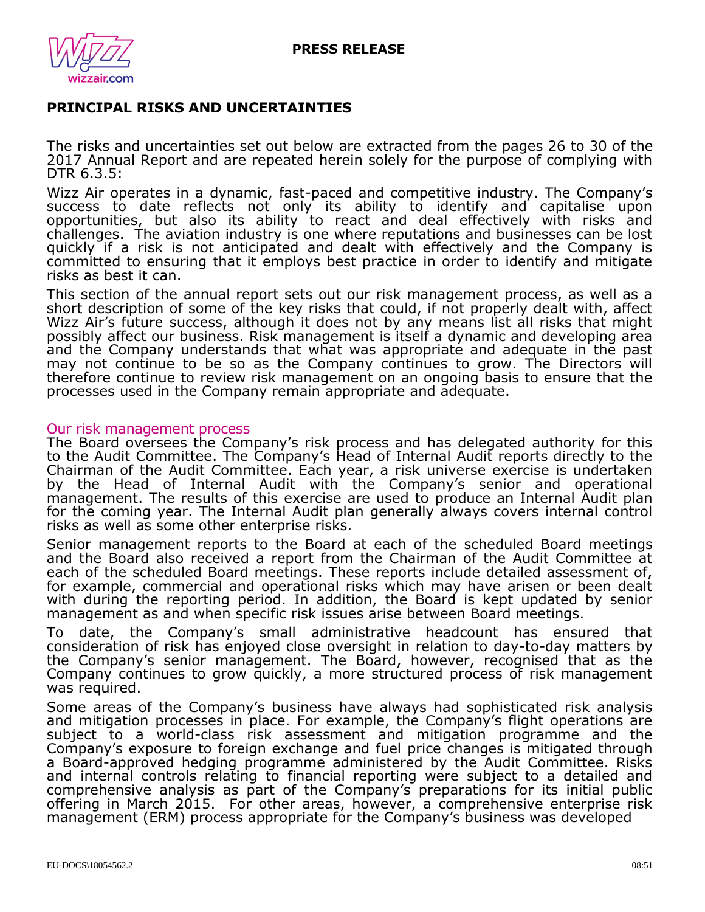

## **PRINCIPAL RISKS AND UNCERTAINTIES**

The risks and uncertainties set out below are extracted from the pages 26 to 30 of the 2017 Annual Report and are repeated herein solely for the purpose of complying with DTR 6.3.5:

Wizz Air operates in a dynamic, fast-paced and competitive industry. The Company's success to date reflects not only its ability to identify and capitalise upon opportunities, but also its ability to react and deal effectively with risks and challenges. The aviation industry is one where reputations and businesses can be lost quickly if a risk is not anticipated and dealt with effectively and the Company is committed to ensuring that it employs best practice in order to identify and mitigate risks as best it can.

This section of the annual report sets out our risk management process, as well as a short description of some of the key risks that could, if not properly dealt with, affect Wizz Air's future success, although it does not by any means list all risks that might possibly affect our business. Risk management is itself a dynamic and developing area and the Company understands that what was appropriate and adequate in the past may not continue to be so as the Company continues to grow. The Directors will therefore continue to review risk management on an ongoing basis to ensure that the processes used in the Company remain appropriate and adequate.

#### Our risk management process

The Board oversees the Company's risk process and has delegated authority for this to the Audit Committee. The Company's Head of Internal Audit reports directly to the Chairman of the Audit Committee. Each year, a risk universe exercise is undertaken by the Head of Internal Audit with the Company's senior and operational management. The results of this exercise are used to produce an Internal Audit plan for the coming year. The Internal Audit plan generally always covers internal control risks as well as some other enterprise risks.

Senior management reports to the Board at each of the scheduled Board meetings and the Board also received a report from the Chairman of the Audit Committee at each of the scheduled Board meetings. These reports include detailed assessment of, for example, commercial and operational risks which may have arisen or been dealt with during the reporting period. In addition, the Board is kept updated by senior management as and when specific risk issues arise between Board meetings.

To date, the Company's small administrative headcount has ensured that consideration of risk has enjoyed close oversight in relation to day-to-day matters by the Company's senior management. The Board, however, recognised that as the Company continues to grow quickly, a more structured process of risk management was required.

Some areas of the Company's business have always had sophisticated risk analysis and mitigation processes in place. For example, the Company's flight operations are subject to a world-class risk assessment and mitigation programme and the Company's exposure to foreign exchange and fuel price changes is mitigated through a Board-approved hedging programme administered by the Audit Committee. Risks and internal controls relating to financial reporting were subject to a detailed and comprehensive analysis as part of the Company's preparations for its initial public offering in March 2015. For other areas, however, a comprehensive enterprise risk management (ERM) process appropriate for the Company's business was developed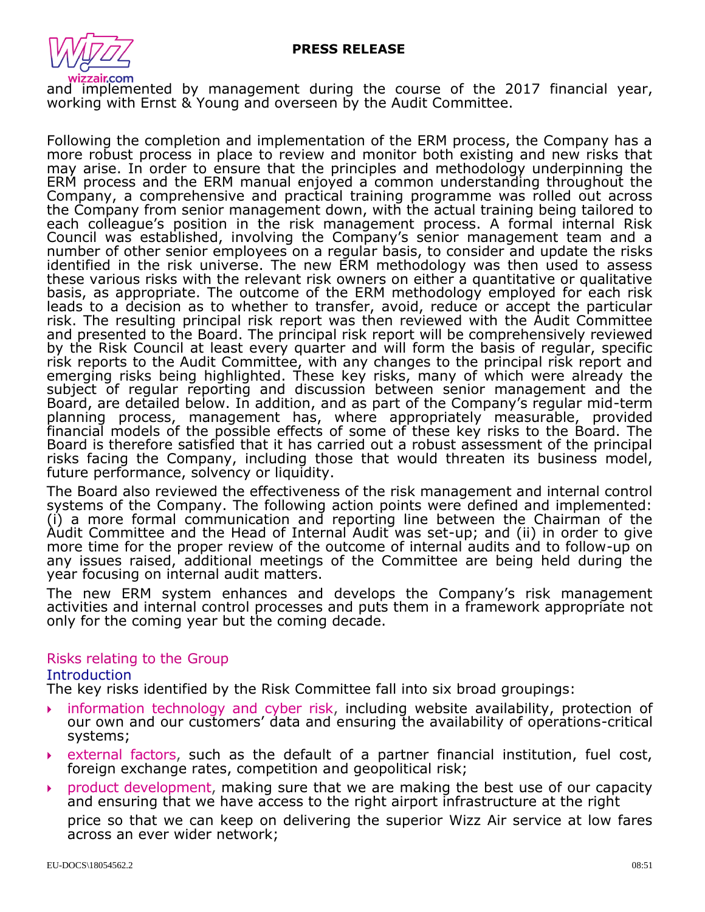

and implemented by management during the course of the 2017 financial year, working with Ernst & Young and overseen by the Audit Committee.

Following the completion and implementation of the ERM process, the Company has a more robust process in place to review and monitor both existing and new risks that may arise. In order to ensure that the principles and methodology underpinning the ERM process and the ERM manual enjoyed a common understanding throughout the Company, a comprehensive and practical training programme was rolled out across the Company from senior management down, with the actual training being tailored to each colleague's position in the risk management process. A formal internal Risk Council was established, involving the Company's senior management team and a number of other senior employees on a regular basis, to consider and update the risks identified in the risk universe. The new ERM methodology was then used to assess these various risks with the relevant risk owners on either a quantitative or qualitative basis, as appropriate. The outcome of the ERM methodology employed for each risk leads to a decision as to whether to transfer, avoid, reduce or accept the particular risk. The resulting principal risk report was then reviewed with the Audit Committee and presented to the Board. The principal risk report will be comprehensively reviewed by the Risk Council at least every quarter and will form the basis of regular, specific risk reports to the Audit Committee, with any changes to the principal risk report and emerging risks being highlighted. These key risks, many of which were already the subject of regular reporting and discussion between senior management and the Board, are detailed below. In addition, and as part of the Company's regular mid-term planning process, management has, where appropriately measurable, provided financial models of the possible effects of some of these key risks to the Board. The Board is therefore satisfied that it has carried out a robust assessment of the principal risks facing the Company, including those that would threaten its business model, future performance, solvency or liquidity.

The Board also reviewed the effectiveness of the risk management and internal control systems of the Company. The following action points were defined and implemented: (i) a more formal communication and reporting line between the Chairman of the Audit Committee and the Head of Internal Audit was set-up; and (ii) in order to give more time for the proper review of the outcome of internal audits and to follow-up on any issues raised, additional meetings of the Committee are being held during the year focusing on internal audit matters.

The new ERM system enhances and develops the Company's risk management activities and internal control processes and puts them in a framework appropriate not only for the coming year but the coming decade.

### Risks relating to the Group

#### Introduction

The key risks identified by the Risk Committee fall into six broad groupings:

- information technology and cyber risk, including website availability, protection of our own and our customers' data and ensuring the availability of operations-critical systems;
- external factors, such as the default of a partner financial institution, fuel cost, foreign exchange rates, competition and geopolitical risk;
- product development, making sure that we are making the best use of our capacity and ensuring that we have access to the right airport infrastructure at the right

price so that we can keep on delivering the superior Wizz Air service at low fares across an ever wider network;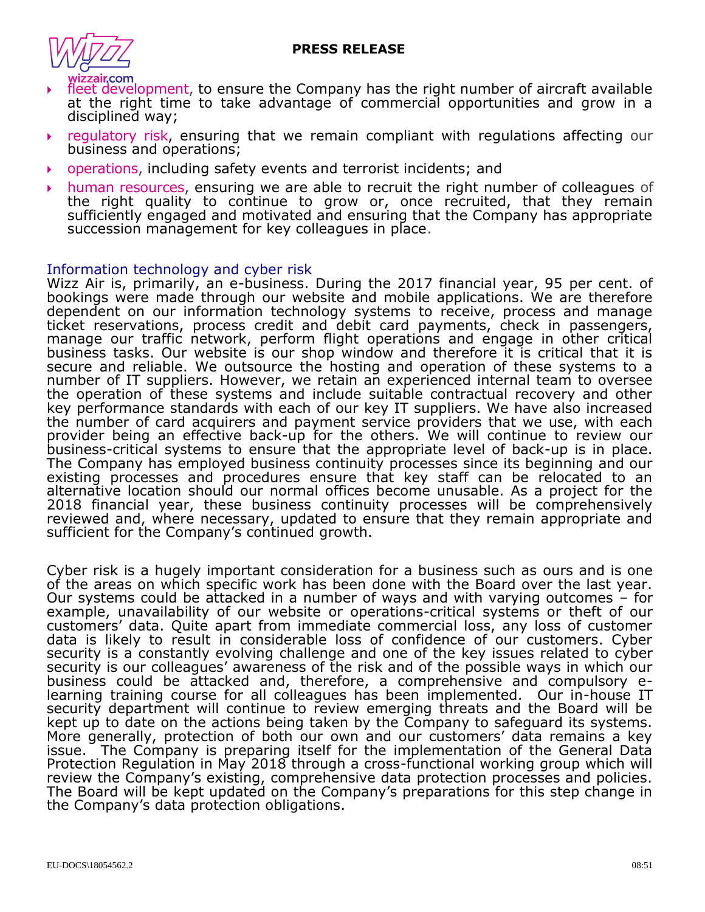

- fleet development, to ensure the Company has the right number of aircraft available at the right time to take advantage of commercial opportunities and grow in a disciplined way;
- regulatory risk, ensuring that we remain compliant with regulations affecting our business and operations;
- operations, including safety events and terrorist incidents; and
- human resources, ensuring we are able to recruit the right number of colleagues of the right quality to continue to grow or, once recruited, that they remain sufficiently engaged and motivated and ensuring that the Company has appropriate succession management for key colleagues in place.

#### Information technology and cyber risk

Wizz Air is, primarily, an e-business. During the 2017 financial year, 95 per cent. of bookings were made through our website and mobile applications. We are therefore dependent on our information technology systems to receive, process and manage ticket reservations, process credit and debit card payments, check in passengers, manage our traffic network, perform flight operations and engage in other critical business tasks. Our website is our shop window and therefore it is critical that it is secure and reliable. We outsource the hosting and operation of these systems to a number of IT suppliers. However, we retain an experienced internal team to oversee the operation of these systems and include suitable contractual recovery and other key performance standards with each of our key IT suppliers. We have also increased the number of card acquirers and payment service providers that we use, with each provider being an effective back-up for the others. We will continue to review our business-critical systems to ensure that the appropriate level of back-up is in place. The Company has employed business continuity processes since its beginning and our existing processes and procedures ensure that key staff can be relocated to an alternative location should our normal offices become unusable. As a project for the 2018 financial year, these business continuity processes will be comprehensively reviewed and, where necessary, updated to ensure that they remain appropriate and sufficient for the Company's continued growth.

Cyber risk is a hugely important consideration for a business such as ours and is one of the areas on which specific work has been done with the Board over the last year. Our systems could be attacked in a number of ways and with varying outcomes – for example, unavailability of our website or operations-critical systems or theft of our customers' data. Quite apart from immediate commercial loss, any loss of customer data is likely to result in considerable loss of confidence of our customers. Cyber security is a constantly evolving challenge and one of the key issues related to cyber security is our colleagues' awareness of the risk and of the possible ways in which our business could be attacked and, therefore, a comprehensive and compulsory elearning training course for all colleagues has been implemented. Our in-house IT security department will continue to review emerging threats and the Board will be kept up to date on the actions being taken by the Company to safeguard its systems. More generally, protection of both our own and our customers' data remains a key issue. The Company is preparing itself for the implementation of the General Data Protection Regulation in May 2018 through a cross-functional working group which will review the Company's existing, comprehensive data protection processes and policies. The Board will be kept updated on the Company's preparations for this step change in the Company's data protection obligations.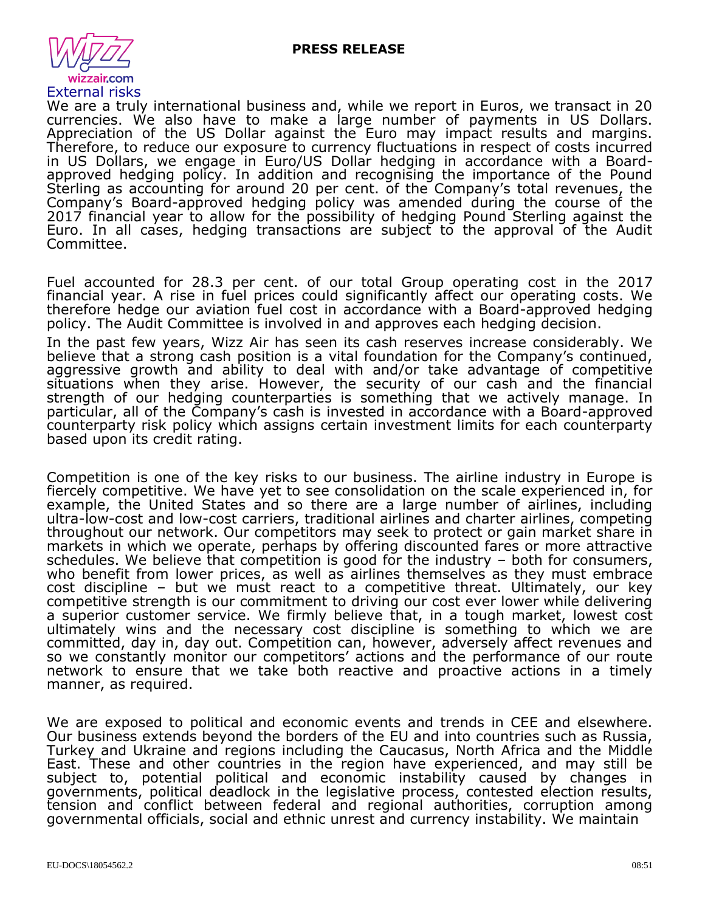

We are a truly international business and, while we report in Euros, we transact in 20 currencies. We also have to make a large number of payments in US Dollars. Appreciation of the US Dollar against the Euro may impact results and margins. Therefore, to reduce our exposure to currency fluctuations in respect of costs incurred in US Dollars, we engage in Euro/US Dollar hedging in accordance with a Boardapproved hedging policy. In addition and recognising the importance of the Pound Sterling as accounting for around 20 per cent. of the Company's total revenues, the Company's Board-approved hedging policy was amended during the course of the 2017 financial year to allow for the possibility of hedging Pound Sterling against the Euro. In all cases, hedging transactions are subject to the approval of the Audit Committee.

Fuel accounted for 28.3 per cent. of our total Group operating cost in the 2017 financial year. A rise in fuel prices could significantly affect our operating costs. We therefore hedge our aviation fuel cost in accordance with a Board-approved hedging policy. The Audit Committee is involved in and approves each hedging decision.

In the past few years, Wizz Air has seen its cash reserves increase considerably. We believe that a strong cash position is a vital foundation for the Company's continued, aggressive growth and ability to deal with and/or take advantage of competitive situations when they arise. However, the security of our cash and the financial strength of our hedging counterparties is something that we actively manage. In particular, all of the Company's cash is invested in accordance with a Board-approved counterparty risk policy which assigns certain investment limits for each counterparty based upon its credit rating.

Competition is one of the key risks to our business. The airline industry in Europe is fiercely competitive. We have yet to see consolidation on the scale experienced in, for example, the United States and so there are a large number of airlines, including ultra-low-cost and low-cost carriers, traditional airlines and charter airlines, competing throughout our network. Our competitors may seek to protect or gain market share in markets in which we operate, perhaps by offering discounted fares or more attractive schedules. We believe that competition is good for the industry – both for consumers, who benefit from lower prices, as well as airlines themselves as they must embrace cost discipline - but we must react to a competitive threat. Ultimately, our key competitive strength is our commitment to driving our cost ever lower while delivering a superior customer service. We firmly believe that, in a tough market, lowest cost ultimately wins and the necessary cost discipline is something to which we are committed, day in, day out. Competition can, however, adversely affect revenues and so we constantly monitor our competitors' actions and the performance of our route network to ensure that we take both reactive and proactive actions in a timely manner, as required.

We are exposed to political and economic events and trends in CEE and elsewhere. Our business extends beyond the borders of the EU and into countries such as Russia, Turkey and Ukraine and regions including the Caucasus, North Africa and the Middle East. These and other countries in the region have experienced, and may still be subject to, potential political and economic instability caused by changes in governments, political deadlock in the legislative process, contested election results, tension and conflict between federal and regional authorities, corruption among governmental officials, social and ethnic unrest and currency instability. We maintain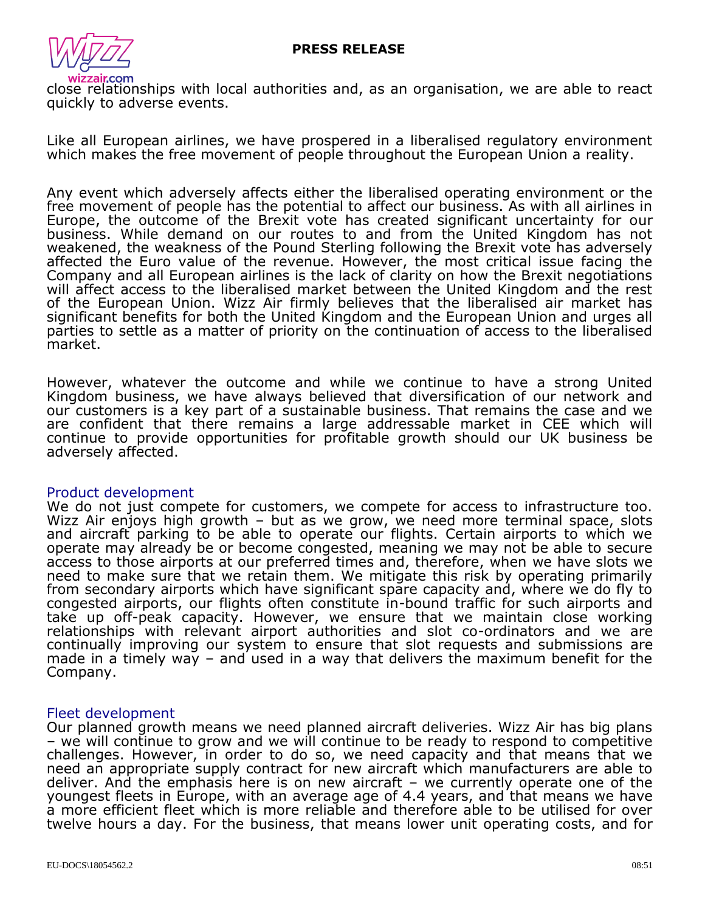

close relationships with local authorities and, as an organisation, we are able to react quickly to adverse events.

Like all European airlines, we have prospered in a liberalised regulatory environment which makes the free movement of people throughout the European Union a reality.

Any event which adversely affects either the liberalised operating environment or the free movement of people has the potential to affect our business. As with all airlines in Europe, the outcome of the Brexit vote has created significant uncertainty for our business. While demand on our routes to and from the United Kingdom has not weakened, the weakness of the Pound Sterling following the Brexit vote has adversely affected the Euro value of the revenue. However, the most critical issue facing the Company and all European airlines is the lack of clarity on how the Brexit negotiations will affect access to the liberalised market between the United Kingdom and the rest of the European Union. Wizz Air firmly believes that the liberalised air market has significant benefits for both the United Kingdom and the European Union and urges all parties to settle as a matter of priority on the continuation of access to the liberalised market.

However, whatever the outcome and while we continue to have a strong United Kingdom business, we have always believed that diversification of our network and our customers is a key part of a sustainable business. That remains the case and we are confident that there remains a large addressable market in CEE which will continue to provide opportunities for profitable growth should our UK business be adversely affected.

#### Product development

We do not just compete for customers, we compete for access to infrastructure too. Wizz Air enjoys high growth – but as we grow, we need more terminal space, slots and aircraft parking to be able to operate our flights. Certain airports to which we operate may already be or become congested, meaning we may not be able to secure access to those airports at our preferred times and, therefore, when we have slots we need to make sure that we retain them. We mitigate this risk by operating primarily from secondary airports which have significant spare capacity and, where we do fly to congested airports, our flights often constitute in-bound traffic for such airports and take up off-peak capacity. However, we ensure that we maintain close working relationships with relevant airport authorities and slot co-ordinators and we are continually improving our system to ensure that slot requests and submissions are made in a timely way  $-$  and used in a way that delivers the maximum benefit for the Company.

#### Fleet development

Our planned growth means we need planned aircraft deliveries. Wizz Air has big plans – we will continue to grow and we will continue to be ready to respond to competitive challenges. However, in order to do so, we need capacity and that means that we need an appropriate supply contract for new aircraft which manufacturers are able to deliver. And the emphasis here is on new aircraft – we currently operate one of the youngest fleets in Europe, with an average age of 4.4 years, and that means we have a more efficient fleet which is more reliable and therefore able to be utilised for over twelve hours a day. For the business, that means lower unit operating costs, and for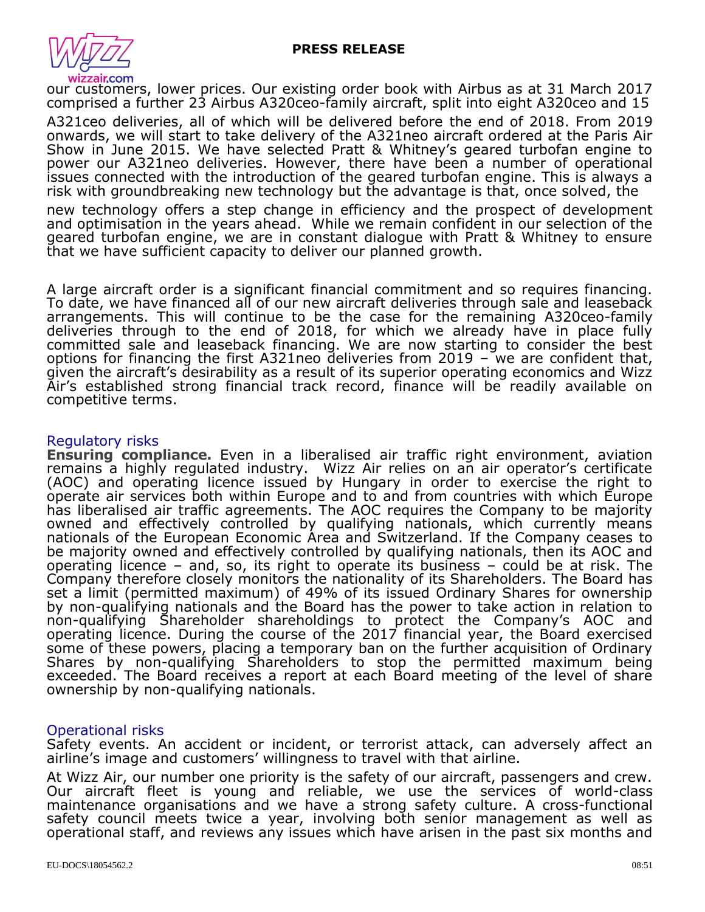

our customers, lower prices. Our existing order book with Airbus as at 31 March 2017 comprised a further 23 Airbus A320ceo-family aircraft, split into eight A320ceo and 15

A321ceo deliveries, all of which will be delivered before the end of 2018. From 2019 onwards, we will start to take delivery of the A321neo aircraft ordered at the Paris Air Show in June 2015. We have selected Pratt & Whitney's geared turbofan engine to power our A321neo deliveries. However, there have been a number of operational issues connected with the introduction of the geared turbofan engine. This is always a risk with groundbreaking new technology but the advantage is that, once solved, the

new technology offers a step change in efficiency and the prospect of development and optimisation in the years ahead. While we remain confident in our selection of the geared turbofan engine, we are in constant dialogue with Pratt & Whitney to ensure that we have sufficient capacity to deliver our planned growth.

A large aircraft order is a significant financial commitment and so requires financing. To date, we have financed all of our new aircraft deliveries through sale and leaseback arrangements. This will continue to be the case for the remaining A320ceo-family deliveries through to the end of 2018, for which we already have in place fully committed sale and leaseback financing. We are now starting to consider the best options for financing the first A321neo deliveries from 2019  $-$  we are confident that, given the aircraft's desirability as a result of its superior operating economics and Wizz Air's established strong financial track record, finance will be readily available on competitive terms.

#### Regulatory risks

**Ensuring compliance.** Even in a liberalised air traffic right environment, aviation remains a highly regulated industry. Wizz Air relies on an air operator's certificate (AOC) and operating licence issued by Hungary in order to exercise the right to operate air services both within Europe and to and from countries with which Europe has liberalised air traffic agreements. The AOC requires the Company to be majority owned and effectively controlled by qualifying nationals, which currently means nationals of the European Economic Area and Switzerland. If the Company ceases to be majority owned and effectively controlled by qualifying nationals, then its AOC and operating licence – and, so, its right to operate its business – could be at risk. The Company therefore closely monitors the nationality of its Shareholders. The Board has set a limit (permitted maximum) of 49% of its issued Ordinary Shares for ownership by non-qualifying nationals and the Board has the power to take action in relation to non-qualifying Shareholder shareholdings to protect the Company's AOC and operating licence. During the course of the 2017 financial year, the Board exercised some of these powers, placing a temporary ban on the further acquisition of Ordinary Shares by non-qualifying Shareholders to stop the permitted maximum being exceeded. The Board receives a report at each Board meeting of the level of share ownership by non-qualifying nationals.

### Operational risks

Safety events. An accident or incident, or terrorist attack, can adversely affect an airline's image and customers' willingness to travel with that airline.

At Wizz Air, our number one priority is the safety of our aircraft, passengers and crew. Our aircraft fleet is young and reliable, we use the services of world-class maintenance organisations and we have a strong safety culture. A cross-functional safety council meets twice a year, involving both senior management as well as operational staff, and reviews any issues which have arisen in the past six months and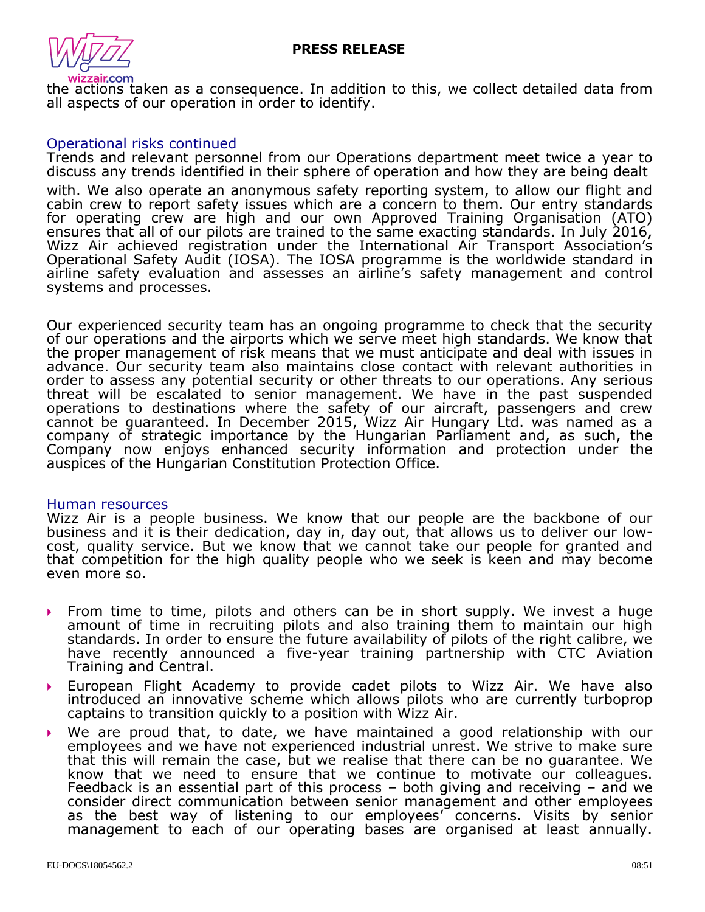

the actions taken as a consequence. In addition to this, we collect detailed data from all aspects of our operation in order to identify.

### Operational risks continued

Trends and relevant personnel from our Operations department meet twice a year to discuss any trends identified in their sphere of operation and how they are being dealt

with. We also operate an anonymous safety reporting system, to allow our flight and cabin crew to report safety issues which are a concern to them. Our entry standards for operating crew are high and our own Approved Training Organisation (ATO) ensures that all of our pilots are trained to the same exacting standards. In July 2016, Wizz Air achieved registration under the International Air Transport Association's Operational Safety Audit (IOSA). The IOSA programme is the worldwide standard in airline safety evaluation and assesses an airline's safety management and control systems and processes.

Our experienced security team has an ongoing programme to check that the security of our operations and the airports which we serve meet high standards. We know that the proper management of risk means that we must anticipate and deal with issues in advance. Our security team also maintains close contact with relevant authorities in order to assess any potential security or other threats to our operations. Any serious threat will be escalated to senior management. We have in the past suspended operations to destinations where the safety of our aircraft, passengers and crew cannot be guaranteed. In December 2015, Wizz Air Hungary Ltd. was named as a company of strategic importance by the Hungarian Parliament and, as such, the Company now enjoys enhanced security information and protection under the auspices of the Hungarian Constitution Protection Office.

#### Human resources

Wizz Air is a people business. We know that our people are the backbone of our business and it is their dedication, day in, day out, that allows us to deliver our lowcost, quality service. But we know that we cannot take our people for granted and that competition for the high quality people who we seek is keen and may become even more so.

- From time to time, pilots and others can be in short supply. We invest a huge amount of time in recruiting pilots and also training them to maintain our high standards. In order to ensure the future availability of pilots of the right calibre, we have recently announced a five-year training partnership with CTC Aviation Training and Central.
- European Flight Academy to provide cadet pilots to Wizz Air. We have also introduced an innovative scheme which allows pilots who are currently turboprop captains to transition quickly to a position with Wizz Air.
- We are proud that, to date, we have maintained a good relationship with our employees and we have not experienced industrial unrest. We strive to make sure that this will remain the case, but we realise that there can be no guarantee. We know that we need to ensure that we continue to motivate our colleagues. Feedback is an essential part of this process – both giving and receiving – and we consider direct communication between senior management and other employees as the best way of listening to our employees' concerns. Visits by senior management to each of our operating bases are organised at least annually.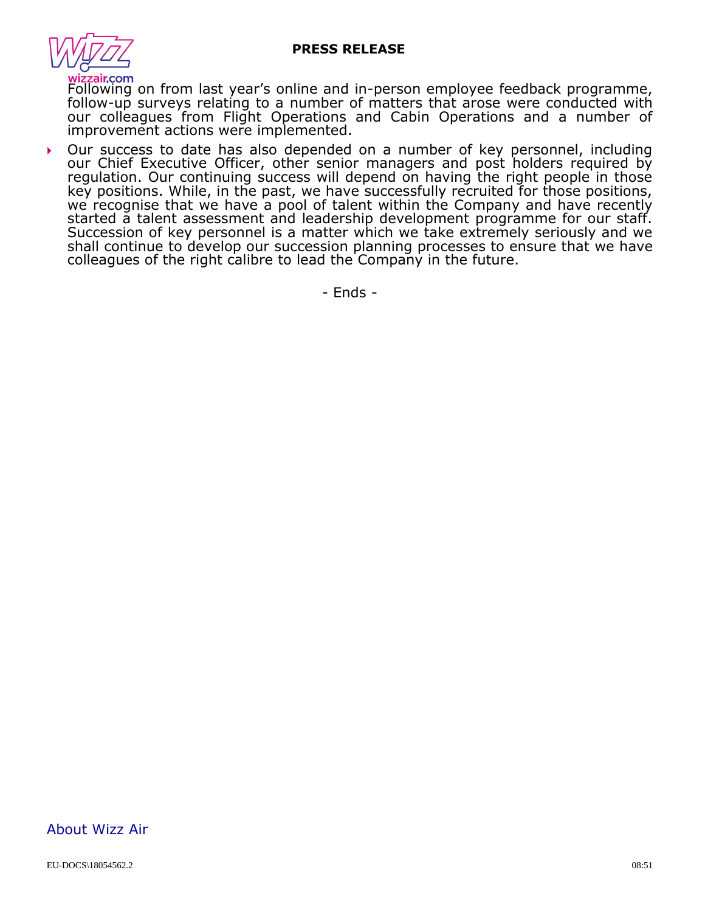

Following on from last year's online and in-person employee feedback programme, follow-up surveys relating to a number of matters that arose were conducted with our colleagues from Flight Operations and Cabin Operations and a number of improvement actions were implemented.

 Our success to date has also depended on a number of key personnel, including our Chief Executive Officer, other senior managers and post holders required by regulation. Our continuing success will depend on having the right people in those key positions. While, in the past, we have successfully recruited for those positions, we recognise that we have a pool of talent within the Company and have recently started a talent assessment and leadership development programme for our staff. Succession of key personnel is a matter which we take extremely seriously and we shall continue to develop our succession planning processes to ensure that we have colleagues of the right calibre to lead the Company in the future.

- Ends -

## About Wizz Air